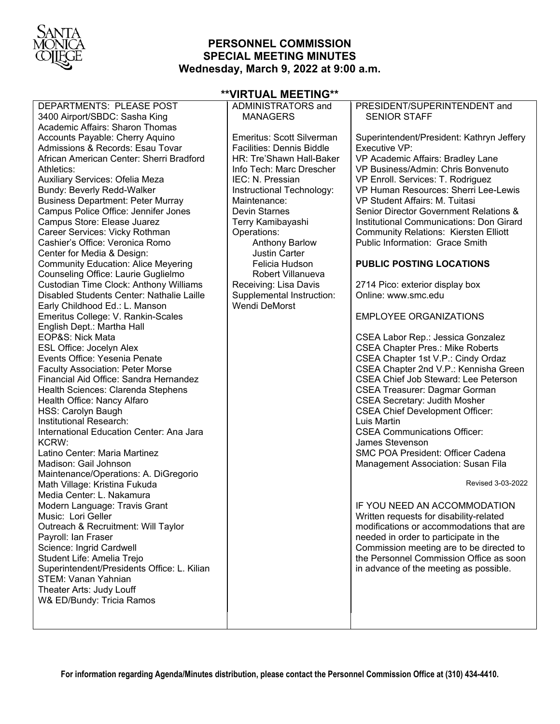

## **PERSONNEL COMMISSION SPECIAL MEETING MINUTES Wednesday, March 9, 2022 at 9:00 a.m.**

| DEPARTMENTS: PLEASE POST<br>3400 Airport/SBDC: Sasha King                                                                                                                                                                                                                                                                                                                                                                                                                                                                                                                                                                                                                                                                                                                                                                                                                                                                                                                                                                                                                                                                                                                                                                                                                                                                                                                                                                                                                                                                                                                                             | ADMINISTRATORS and<br><b>MANAGERS</b>                                                                                                                                                                                                                                                                                                                                                                      | PRESIDENT/SUPERINTENDENT and<br><b>SENIOR STAFF</b>                                                                                                                                                                                                                                                                                                                                                                                                                                                                                                                                                                                                                                                                                                                                                                                                                                                                                                                                                                                                                                                                                                                                                                                                                                                                                                                                  |
|-------------------------------------------------------------------------------------------------------------------------------------------------------------------------------------------------------------------------------------------------------------------------------------------------------------------------------------------------------------------------------------------------------------------------------------------------------------------------------------------------------------------------------------------------------------------------------------------------------------------------------------------------------------------------------------------------------------------------------------------------------------------------------------------------------------------------------------------------------------------------------------------------------------------------------------------------------------------------------------------------------------------------------------------------------------------------------------------------------------------------------------------------------------------------------------------------------------------------------------------------------------------------------------------------------------------------------------------------------------------------------------------------------------------------------------------------------------------------------------------------------------------------------------------------------------------------------------------------------|------------------------------------------------------------------------------------------------------------------------------------------------------------------------------------------------------------------------------------------------------------------------------------------------------------------------------------------------------------------------------------------------------------|--------------------------------------------------------------------------------------------------------------------------------------------------------------------------------------------------------------------------------------------------------------------------------------------------------------------------------------------------------------------------------------------------------------------------------------------------------------------------------------------------------------------------------------------------------------------------------------------------------------------------------------------------------------------------------------------------------------------------------------------------------------------------------------------------------------------------------------------------------------------------------------------------------------------------------------------------------------------------------------------------------------------------------------------------------------------------------------------------------------------------------------------------------------------------------------------------------------------------------------------------------------------------------------------------------------------------------------------------------------------------------------|
| <b>Academic Affairs: Sharon Thomas</b><br>Accounts Payable: Cherry Aquino<br>Admissions & Records: Esau Tovar<br>African American Center: Sherri Bradford<br>Athletics:<br>Auxiliary Services: Ofelia Meza<br><b>Bundy: Beverly Redd-Walker</b><br><b>Business Department: Peter Murray</b><br>Campus Police Office: Jennifer Jones<br>Campus Store: Elease Juarez<br>Career Services: Vicky Rothman<br>Cashier's Office: Veronica Romo<br>Center for Media & Design:<br><b>Community Education: Alice Meyering</b><br>Counseling Office: Laurie Guglielmo<br>Custodian Time Clock: Anthony Williams<br>Disabled Students Center: Nathalie Laille<br>Early Childhood Ed.: L. Manson<br>Emeritus College: V. Rankin-Scales<br>English Dept.: Martha Hall<br>EOP&S: Nick Mata<br><b>ESL Office: Jocelyn Alex</b><br>Events Office: Yesenia Penate<br><b>Faculty Association: Peter Morse</b><br>Financial Aid Office: Sandra Hernandez<br>Health Sciences: Clarenda Stephens<br>Health Office: Nancy Alfaro<br><b>HSS: Carolyn Baugh</b><br>Institutional Research:<br>International Education Center: Ana Jara<br>KCRW:<br>Latino Center: Maria Martinez<br>Madison: Gail Johnson<br>Maintenance/Operations: A. DiGregorio<br>Math Village: Kristina Fukuda<br>Media Center: L. Nakamura<br>Modern Language: Travis Grant<br>Music: Lori Geller<br>Outreach & Recruitment: Will Taylor<br>Payroll: Ian Fraser<br>Science: Ingrid Cardwell<br>Student Life: Amelia Trejo<br>Superintendent/Presidents Office: L. Kilian<br>STEM: Vanan Yahnian<br>Theater Arts: Judy Louff<br>W& ED/Bundy: Tricia Ramos | Emeritus: Scott Silverman<br>Facilities: Dennis Biddle<br>HR: Tre'Shawn Hall-Baker<br>Info Tech: Marc Drescher<br>IEC: N. Pressian<br>Instructional Technology:<br>Maintenance:<br><b>Devin Starnes</b><br>Terry Kamibayashi<br>Operations:<br><b>Anthony Barlow</b><br><b>Justin Carter</b><br>Felicia Hudson<br>Robert Villanueva<br>Receiving: Lisa Davis<br>Supplemental Instruction:<br>Wendi DeMorst | Superintendent/President: Kathryn Jeffery<br>Executive VP:<br>VP Academic Affairs: Bradley Lane<br>VP Business/Admin: Chris Bonvenuto<br>VP Enroll. Services: T. Rodriguez<br>VP Human Resources: Sherri Lee-Lewis<br>VP Student Affairs: M. Tuitasi<br>Senior Director Government Relations &<br>Institutional Communications: Don Girard<br><b>Community Relations: Kiersten Elliott</b><br>Public Information: Grace Smith<br><b>PUBLIC POSTING LOCATIONS</b><br>2714 Pico: exterior display box<br>Online: www.smc.edu<br><b>EMPLOYEE ORGANIZATIONS</b><br>CSEA Labor Rep.: Jessica Gonzalez<br><b>CSEA Chapter Pres.: Mike Roberts</b><br>CSEA Chapter 1st V.P.: Cindy Ordaz<br>CSEA Chapter 2nd V.P.: Kennisha Green<br><b>CSEA Chief Job Steward: Lee Peterson</b><br><b>CSEA Treasurer: Dagmar Gorman</b><br><b>CSEA Secretary: Judith Mosher</b><br><b>CSEA Chief Development Officer:</b><br>Luis Martin<br><b>CSEA Communications Officer:</b><br>James Stevenson<br><b>SMC POA President: Officer Cadena</b><br>Management Association: Susan Fila<br>Revised 3-03-2022<br>IF YOU NEED AN ACCOMMODATION<br>Written requests for disability-related<br>modifications or accommodations that are<br>needed in order to participate in the<br>Commission meeting are to be directed to<br>the Personnel Commission Office as soon<br>in advance of the meeting as possible. |
|                                                                                                                                                                                                                                                                                                                                                                                                                                                                                                                                                                                                                                                                                                                                                                                                                                                                                                                                                                                                                                                                                                                                                                                                                                                                                                                                                                                                                                                                                                                                                                                                       |                                                                                                                                                                                                                                                                                                                                                                                                            |                                                                                                                                                                                                                                                                                                                                                                                                                                                                                                                                                                                                                                                                                                                                                                                                                                                                                                                                                                                                                                                                                                                                                                                                                                                                                                                                                                                      |

# **\*\*VIRTUAL MEETING\*\***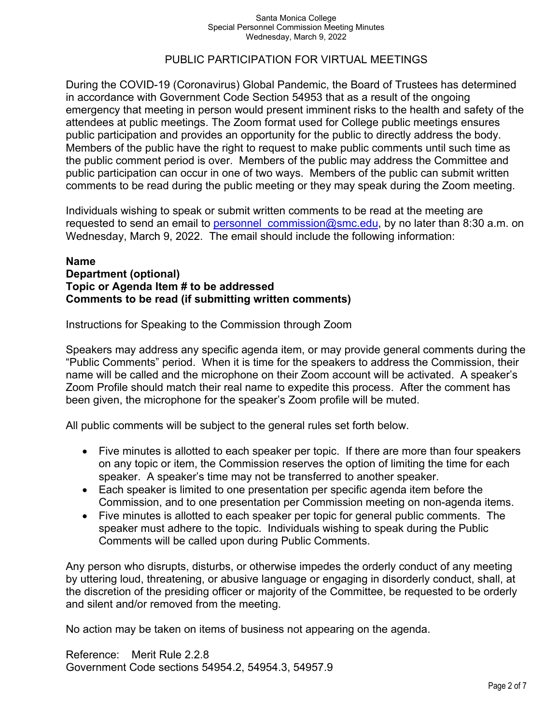## PUBLIC PARTICIPATION FOR VIRTUAL MEETINGS

During the COVID-19 (Coronavirus) Global Pandemic, the Board of Trustees has determined in accordance with Government Code Section 54953 that as a result of the ongoing emergency that meeting in person would present imminent risks to the health and safety of the attendees at public meetings. The Zoom format used for College public meetings ensures public participation and provides an opportunity for the public to directly address the body. Members of the public have the right to request to make public comments until such time as the public comment period is over. Members of the public may address the Committee and public participation can occur in one of two ways. Members of the public can submit written comments to be read during the public meeting or they may speak during the Zoom meeting.

Individuals wishing to speak or submit written comments to be read at the meeting are requested to send an email to personnel commission@smc.edu, by no later than 8:30 a.m. on Wednesday, March 9, 2022. The email should include the following information:

### **Name Department (optional) Topic or Agenda Item # to be addressed Comments to be read (if submitting written comments)**

Instructions for Speaking to the Commission through Zoom

Speakers may address any specific agenda item, or may provide general comments during the "Public Comments" period. When it is time for the speakers to address the Commission, their name will be called and the microphone on their Zoom account will be activated. A speaker's Zoom Profile should match their real name to expedite this process. After the comment has been given, the microphone for the speaker's Zoom profile will be muted.

All public comments will be subject to the general rules set forth below.

- Five minutes is allotted to each speaker per topic. If there are more than four speakers on any topic or item, the Commission reserves the option of limiting the time for each speaker. A speaker's time may not be transferred to another speaker.
- Each speaker is limited to one presentation per specific agenda item before the Commission, and to one presentation per Commission meeting on non-agenda items.
- Five minutes is allotted to each speaker per topic for general public comments. The speaker must adhere to the topic. Individuals wishing to speak during the Public Comments will be called upon during Public Comments.

Any person who disrupts, disturbs, or otherwise impedes the orderly conduct of any meeting by uttering loud, threatening, or abusive language or engaging in disorderly conduct, shall, at the discretion of the presiding officer or majority of the Committee, be requested to be orderly and silent and/or removed from the meeting.

No action may be taken on items of business not appearing on the agenda.

Reference: Merit Rule 2.2.8 Government Code sections 54954.2, 54954.3, 54957.9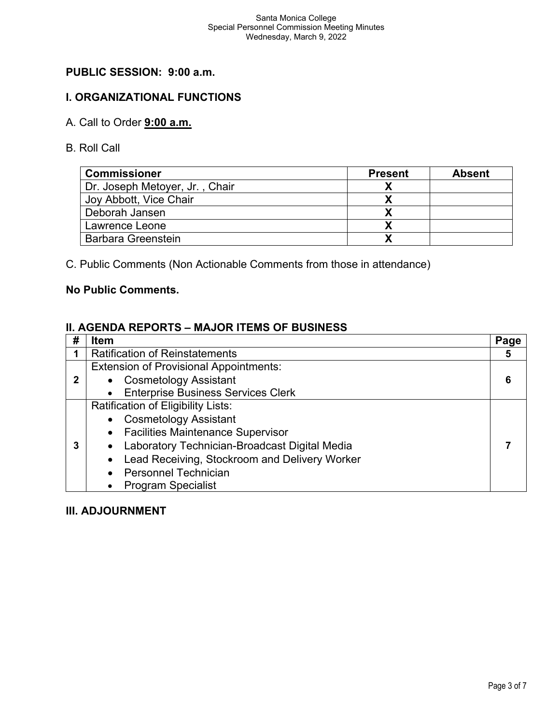# **PUBLIC SESSION: 9:00 a.m.**

## **I. ORGANIZATIONAL FUNCTIONS**

# A. Call to Order **9:00 a.m.**

B. Roll Call

| <b>Commissioner</b>            | <b>Present</b> | <b>Absent</b> |
|--------------------------------|----------------|---------------|
| Dr. Joseph Metoyer, Jr., Chair |                |               |
| Joy Abbott, Vice Chair         |                |               |
| Deborah Jansen                 |                |               |
| Lawrence Leone                 |                |               |
| <b>Barbara Greenstein</b>      |                |               |

C. Public Comments (Non Actionable Comments from those in attendance)

### **No Public Comments.**

## **II. AGENDA REPORTS – MAJOR ITEMS OF BUSINESS**

| # | <b>Item</b>                                     | Page |
|---|-------------------------------------------------|------|
|   | <b>Ratification of Reinstatements</b>           | 5    |
|   | <b>Extension of Provisional Appointments:</b>   |      |
| 2 | • Cosmetology Assistant                         | 6    |
|   | • Enterprise Business Services Clerk            |      |
|   | Ratification of Eligibility Lists:              |      |
|   | • Cosmetology Assistant                         |      |
|   | • Facilities Maintenance Supervisor             |      |
|   | • Laboratory Technician-Broadcast Digital Media |      |
|   | • Lead Receiving, Stockroom and Delivery Worker |      |
|   | • Personnel Technician                          |      |
|   | <b>Program Specialist</b>                       |      |

### **III. ADJOURNMENT**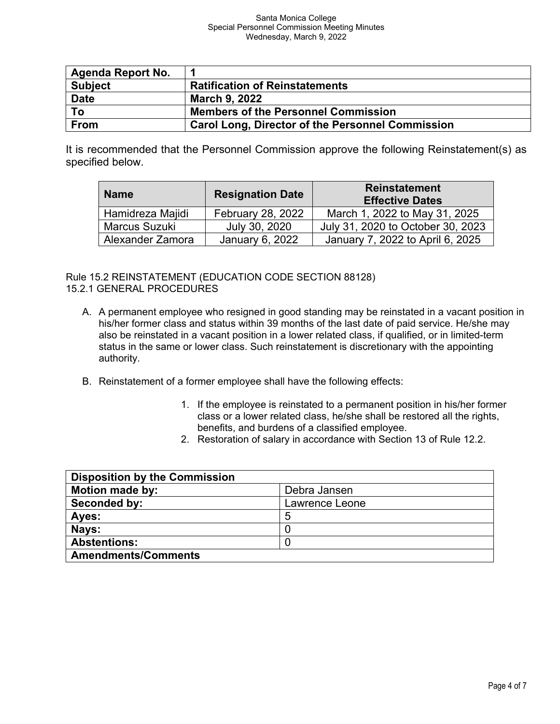| <b>Agenda Report No.</b> |                                                         |
|--------------------------|---------------------------------------------------------|
| <b>Subject</b>           | <b>Ratification of Reinstatements</b>                   |
| <b>Date</b>              | <b>March 9, 2022</b>                                    |
| To                       | <b>Members of the Personnel Commission</b>              |
| <b>From</b>              | <b>Carol Long, Director of the Personnel Commission</b> |

It is recommended that the Personnel Commission approve the following Reinstatement(s) as specified below.

| <b>Name</b>      | <b>Resignation Date</b>  | <b>Reinstatement</b><br><b>Effective Dates</b> |
|------------------|--------------------------|------------------------------------------------|
| Hamidreza Majidi | <b>February 28, 2022</b> | March 1, 2022 to May 31, 2025                  |
| Marcus Suzuki    | July 30, 2020            | July 31, 2020 to October 30, 2023              |
| Alexander Zamora | January 6, 2022          | January 7, 2022 to April 6, 2025               |

Rule 15.2 REINSTATEMENT (EDUCATION CODE SECTION 88128) 15.2.1 GENERAL PROCEDURES

- A. A permanent employee who resigned in good standing may be reinstated in a vacant position in his/her former class and status within 39 months of the last date of paid service. He/she may also be reinstated in a vacant position in a lower related class, if qualified, or in limited-term status in the same or lower class. Such reinstatement is discretionary with the appointing authority.
- B. Reinstatement of a former employee shall have the following effects:
	- 1. If the employee is reinstated to a permanent position in his/her former class or a lower related class, he/she shall be restored all the rights, benefits, and burdens of a classified employee.
	- 2. Restoration of salary in accordance with Section 13 of Rule 12.2.

| <b>Disposition by the Commission</b> |                |
|--------------------------------------|----------------|
| <b>Motion made by:</b>               | Debra Jansen   |
| Seconded by:                         | Lawrence Leone |
| Ayes:                                | 5              |
| Nays:                                |                |
| <b>Abstentions:</b>                  |                |
| <b>Amendments/Comments</b>           |                |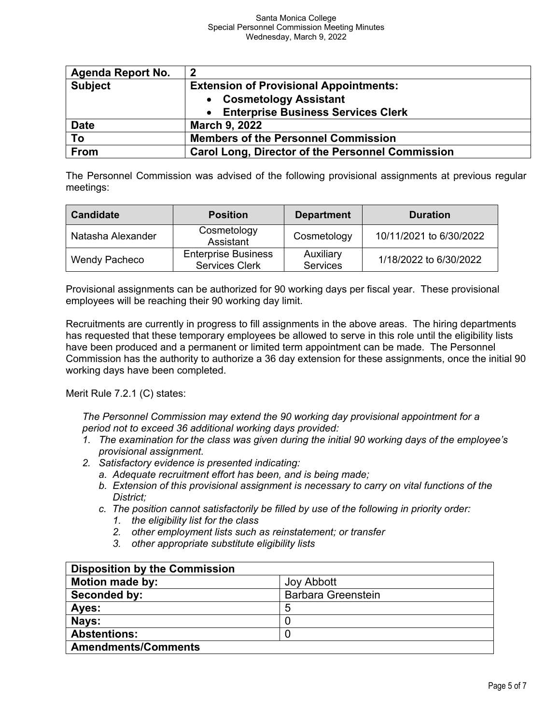| <b>Agenda Report No.</b> | $\overline{2}$                                          |
|--------------------------|---------------------------------------------------------|
| <b>Subject</b>           | <b>Extension of Provisional Appointments:</b>           |
|                          | • Cosmetology Assistant                                 |
|                          | • Enterprise Business Services Clerk                    |
| <b>Date</b>              | <b>March 9, 2022</b>                                    |
| To                       | <b>Members of the Personnel Commission</b>              |
| From                     | <b>Carol Long, Director of the Personnel Commission</b> |

The Personnel Commission was advised of the following provisional assignments at previous regular meetings:

| <b>Candidate</b>  | <b>Position</b>                                     | <b>Department</b>            | <b>Duration</b>         |
|-------------------|-----------------------------------------------------|------------------------------|-------------------------|
| Natasha Alexander | Cosmetology<br>Assistant                            | Cosmetology                  | 10/11/2021 to 6/30/2022 |
| Wendy Pacheco     | <b>Enterprise Business</b><br><b>Services Clerk</b> | Auxiliary<br><b>Services</b> | 1/18/2022 to 6/30/2022  |

Provisional assignments can be authorized for 90 working days per fiscal year. These provisional employees will be reaching their 90 working day limit.

Recruitments are currently in progress to fill assignments in the above areas. The hiring departments has requested that these temporary employees be allowed to serve in this role until the eligibility lists have been produced and a permanent or limited term appointment can be made. The Personnel Commission has the authority to authorize a 36 day extension for these assignments, once the initial 90 working days have been completed.

Merit Rule 7.2.1 (C) states:

*The Personnel Commission may extend the 90 working day provisional appointment for a period not to exceed 36 additional working days provided:*

- *1. The examination for the class was given during the initial 90 working days of the employee's provisional assignment.*
- *2. Satisfactory evidence is presented indicating:*
	- *a. Adequate recruitment effort has been, and is being made;*
	- *b. Extension of this provisional assignment is necessary to carry on vital functions of the District;*
	- *c. The position cannot satisfactorily be filled by use of the following in priority order:*
		- *1. the eligibility list for the class*
		- *2. other employment lists such as reinstatement; or transfer*
		- *3. other appropriate substitute eligibility lists*

| <b>Disposition by the Commission</b> |                           |
|--------------------------------------|---------------------------|
| <b>Motion made by:</b>               | <b>Joy Abbott</b>         |
| Seconded by:                         | <b>Barbara Greenstein</b> |
| Ayes:                                | 5                         |
| Nays:                                |                           |
| <b>Abstentions:</b>                  |                           |
| <b>Amendments/Comments</b>           |                           |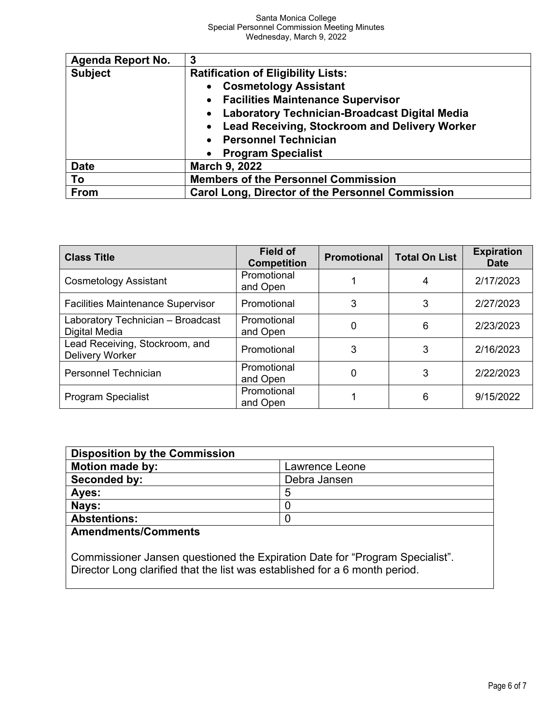| <b>Agenda Report No.</b> | 3                                                       |  |
|--------------------------|---------------------------------------------------------|--|
| <b>Subject</b>           | <b>Ratification of Eligibility Lists:</b>               |  |
|                          | <b>Cosmetology Assistant</b>                            |  |
|                          | • Facilities Maintenance Supervisor                     |  |
|                          | <b>Laboratory Technician-Broadcast Digital Media</b>    |  |
|                          | • Lead Receiving, Stockroom and Delivery Worker         |  |
|                          | <b>Personnel Technician</b>                             |  |
|                          | <b>Program Specialist</b>                               |  |
| <b>Date</b>              | <b>March 9, 2022</b>                                    |  |
| To                       | <b>Members of the Personnel Commission</b>              |  |
| <b>From</b>              | <b>Carol Long, Director of the Personnel Commission</b> |  |

| <b>Class Title</b>                                       | <b>Field of</b><br><b>Competition</b> | <b>Promotional</b> | <b>Total On List</b> | <b>Expiration</b><br><b>Date</b> |
|----------------------------------------------------------|---------------------------------------|--------------------|----------------------|----------------------------------|
| <b>Cosmetology Assistant</b>                             | Promotional<br>and Open               |                    |                      | 2/17/2023                        |
| <b>Facilities Maintenance Supervisor</b>                 | Promotional                           | 3                  | 3                    | 2/27/2023                        |
| Laboratory Technician - Broadcast<br>Digital Media       | Promotional<br>and Open               | 0                  | 6                    | 2/23/2023                        |
| Lead Receiving, Stockroom, and<br><b>Delivery Worker</b> | Promotional                           | 3                  | 3                    | 2/16/2023                        |
| Personnel Technician                                     | Promotional<br>and Open               | 0                  | 3                    | 2/22/2023                        |
| Program Specialist                                       | Promotional<br>and Open               |                    | 6                    | 9/15/2022                        |

| <b>Disposition by the Commission</b> |                |  |
|--------------------------------------|----------------|--|
| Motion made by:                      | Lawrence Leone |  |
| Seconded by:                         | Debra Jansen   |  |
| Ayes:                                | b              |  |
| Nays:                                |                |  |
| <b>Abstentions:</b>                  |                |  |

**Amendments/Comments**

Commissioner Jansen questioned the Expiration Date for "Program Specialist". Director Long clarified that the list was established for a 6 month period.